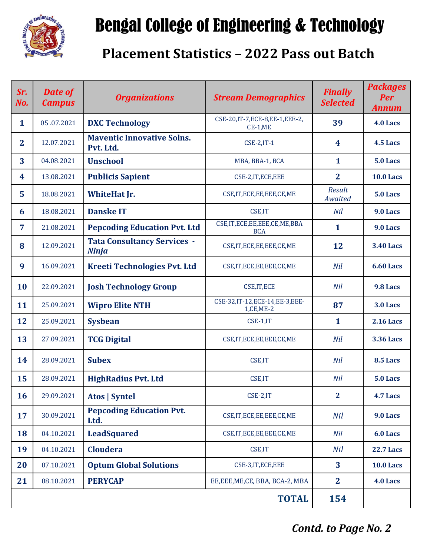

## Bengal College of Engineering & Technology

 **Placement Statistics – 2022 Pass out Batch**

| Sr.<br>No.     | <b>Date of</b><br><b>Campus</b> | <b>Organizations</b>                               | <b>Stream Demographics</b>                       | <b>Finally</b><br><b>Selected</b> | <b>Packages</b><br>Per<br><b>Annum</b> |
|----------------|---------------------------------|----------------------------------------------------|--------------------------------------------------|-----------------------------------|----------------------------------------|
| $\mathbf{1}$   | 05.07.2021                      | <b>DXC Technology</b>                              | CSE-20, IT-7, ECE-8, EE-1, EEE-2,<br>$CE-1, ME$  | 39                                | 4.0 Lacs                               |
| $\mathbf{2}$   | 12.07.2021                      | <b>Maventic Innovative Solns.</b><br>Pvt. Ltd.     | $CSE-2, IT-1$                                    | 4                                 | 4.5 Lacs                               |
| $\overline{3}$ | 04.08.2021                      | <b>Unschool</b>                                    | MBA, BBA-1, BCA                                  | $\mathbf{1}$                      | <b>5.0 Lacs</b>                        |
| 4              | 13.08.2021                      | <b>Publicis Sapient</b>                            | CSE-2,IT,ECE,EEE                                 | $\overline{2}$                    | <b>10.0 Lacs</b>                       |
| 5 <sup>5</sup> | 18.08.2021                      | WhiteHat Jr.                                       | CSE, IT, ECE, EE, EEE, CE, ME                    | Result<br>Awaited                 | <b>5.0 Lacs</b>                        |
| 6              | 18.08.2021                      | <b>Danske IT</b>                                   | CSE, IT                                          | <b>Nil</b>                        | 9.0 Lacs                               |
| $\overline{7}$ | 21.08.2021                      | <b>Pepcoding Education Pvt. Ltd</b>                | CSE, IT, ECE, EE, EEE, CE, ME, BBA<br><b>BCA</b> | $\mathbf{1}$                      | 9.0 Lacs                               |
| 8              | 12.09.2021                      | <b>Tata Consultancy Services -</b><br><b>Ninja</b> | CSE, IT, ECE, EE, EEE, CE, ME                    | 12                                | <b>3.40 Lacs</b>                       |
| 9              | 16.09.2021                      | <b>Kreeti Technologies Pvt. Ltd</b>                | CSE, IT, ECE, EE, EEE, CE, ME                    | <b>Nil</b>                        | <b>6.60 Lacs</b>                       |
| 10             | 22.09.2021                      | <b>Josh Technology Group</b>                       | CSE, IT, ECE                                     | <b>Nil</b>                        | 9.8 Lacs                               |
| 11             | 25.09.2021                      | <b>Wipro Elite NTH</b>                             | CSE-32, IT-12, ECE-14, EE-3, EEE-<br>1, CE, ME-2 | 87                                | <b>3.0 Lacs</b>                        |
| 12             | 25.09.2021                      | <b>Sysbean</b>                                     | CSE-1,IT                                         | $\mathbf{1}$                      | <b>2.16 Lacs</b>                       |
| 13             | 27.09.2021                      | <b>TCG Digital</b>                                 | CSE, IT, ECE, EE, EEE, CE, ME                    | <b>Nil</b>                        | <b>3.36 Lacs</b>                       |
| 14             | 28.09.2021                      | <b>Subex</b>                                       | <b>CSE,IT</b>                                    | <b>Nil</b>                        | 8.5 Lacs                               |
| 15             | 28.09.2021                      | <b>HighRadius Pvt. Ltd</b>                         | CSE, IT                                          | <b>Nil</b>                        | <b>5.0 Lacs</b>                        |
| 16             | 29.09.2021                      | <b>Atos   Syntel</b>                               | CSE-2,IT                                         | $\overline{2}$                    | 4.7 Lacs                               |
| 17             | 30.09.2021                      | <b>Pepcoding Education Pvt.</b><br>Ltd.            | CSE, IT, ECE, EE, EEE, CE, ME                    | <b>Nil</b>                        | <b>9.0 Lacs</b>                        |
| 18             | 04.10.2021                      | <b>LeadSquared</b>                                 | CSE, IT, ECE, EE, EEE, CE, ME                    | <b>Nil</b>                        | 6.0 Lacs                               |
| 19             | 04.10.2021                      | <b>Cloudera</b>                                    | CSE, IT                                          | Nil                               | <b>22.7 Lacs</b>                       |
| 20             | 07.10.2021                      | <b>Optum Global Solutions</b>                      | CSE-3, IT, ECE, EEE                              | $\overline{\mathbf{3}}$           | <b>10.0 Lacs</b>                       |
| 21             | 08.10.2021                      | <b>PERYCAP</b>                                     | EE, EEE, ME, CE, BBA, BCA-2, MBA                 | $\overline{2}$                    | 4.0 Lacs                               |
|                |                                 |                                                    | <b>TOTAL</b>                                     | 154                               |                                        |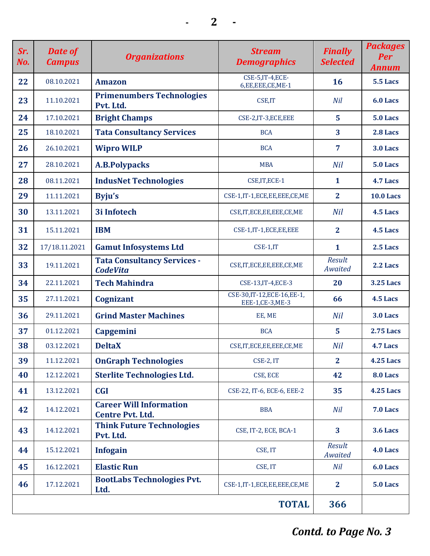| Sr.<br>No. | <b>Date of</b><br><b>Campus</b> | <b>Organizations</b>                                      | <b>Stream</b><br><b>Demographics</b>            | <b>Finally</b><br><b>Selected</b> | <b>Packages</b><br>Per<br><b>Annum</b> |
|------------|---------------------------------|-----------------------------------------------------------|-------------------------------------------------|-----------------------------------|----------------------------------------|
| 22         | 08.10.2021                      | <b>Amazon</b>                                             | CSE-5, IT-4, ECE-<br>6, EE, EEE, CE, ME-1       | 16                                | 5.5 Lacs                               |
| 23         | 11.10.2021                      | <b>Primenumbers Technologies</b><br>Pvt. Ltd.             | CSE, IT                                         | <b>Nil</b>                        | 6.0 Lacs                               |
| 24         | 17.10.2021                      | <b>Bright Champs</b>                                      | CSE-2, IT-3, ECE, EEE                           | 5                                 | <b>5.0 Lacs</b>                        |
| 25         | 18.10.2021                      | <b>Tata Consultancy Services</b>                          | <b>BCA</b>                                      | $\overline{\mathbf{3}}$           | 2.8 Lacs                               |
| 26         | 26.10.2021                      | <b>Wipro WILP</b>                                         | <b>BCA</b>                                      | 7                                 | <b>3.0 Lacs</b>                        |
| 27         | 28.10.2021                      | <b>A.B.Polypacks</b>                                      | <b>MBA</b>                                      | Nil                               | <b>5.0 Lacs</b>                        |
| 28         | 08.11.2021                      | <b>IndusNet Technologies</b>                              | CSE, IT, ECE-1                                  | $\mathbf{1}$                      | 4.7 Lacs                               |
| 29         | 11.11.2021                      | Byju's                                                    | CSE-1, IT-1, ECE, EE, EEE, CE, ME               | $\overline{2}$                    | <b>10.0 Lacs</b>                       |
| 30         | 13.11.2021                      | <b>3i Infotech</b>                                        | CSE, IT, ECE, EE, EEE, CE, ME                   | <b>Nil</b>                        | 4.5 Lacs                               |
| 31         | 15.11.2021                      | <b>IBM</b>                                                | CSE-1, IT-1, ECE, EE, EEE                       | $\overline{2}$                    | 4.5 Lacs                               |
| 32         | 17/18.11.2021                   | <b>Gamut Infosystems Ltd</b>                              | CSE-1,IT                                        | $\mathbf{1}$                      | 2.5 Lacs                               |
| 33         | 19.11.2021                      | <b>Tata Consultancy Services -</b><br><b>CodeVita</b>     | CSE, IT, ECE, EE, EEE, CE, ME                   | Result<br>Awaited                 | 2.2 Lacs                               |
| 34         | 22.11.2021                      | <b>Tech Mahindra</b>                                      | CSE-13, IT-4, ECE-3                             | 20                                | <b>3.25 Lacs</b>                       |
| 35         | 27.11.2021                      | <b>Cognizant</b>                                          | CSE-30, IT-12, ECE-16, EE-1,<br>EEE-1,CE-3,ME-3 | 66                                | 4.5 Lacs                               |
| 36         | 29.11.2021                      | <b>Grind Master Machines</b>                              | EE, ME                                          | <b>Nil</b>                        | <b>3.0 Lacs</b>                        |
| 37         | 01.12.2021                      | Capgemini                                                 | <b>BCA</b>                                      | $5\phantom{1}$                    | <b>2.75 Lacs</b>                       |
| 38         | 03.12.2021                      | <b>DeltaX</b>                                             | CSE, IT, ECE, EE, EEE, CE, ME                   | Nil                               | 4.7 Lacs                               |
| 39         | 11.12.2021                      | <b>OnGraph Technologies</b>                               | CSE-2, IT                                       | $\overline{2}$                    | <b>4.25 Lacs</b>                       |
| 40         | 12.12.2021                      | <b>Sterlite Technologies Ltd.</b>                         | CSE, ECE                                        | 42                                | 8.0 Lacs                               |
| 41         | 13.12.2021                      | <b>CGI</b>                                                | CSE-22, IT-6, ECE-6, EEE-2                      | 35                                | <b>4.25 Lacs</b>                       |
| 42         | 14.12.2021                      | <b>Career Will Information</b><br><b>Centre Pvt. Ltd.</b> | <b>BBA</b>                                      | <b>Nil</b>                        | 7.0 Lacs                               |
| 43         | 14.12.2021                      | <b>Think Future Technologies</b><br>Pvt. Ltd.             | CSE, IT-2, ECE, BCA-1                           | $\overline{\mathbf{3}}$           | 3.6 Lacs                               |
| 44         | 15.12.2021                      | <b>Infogain</b>                                           | CSE, IT                                         | Result<br>Awaited                 | 4.0 Lacs                               |
| 45         | 16.12.2021                      | <b>Elastic Run</b>                                        | CSE, IT                                         | Nil                               | 6.0 Lacs                               |
| 46         | 17.12.2021                      | <b>BootLabs Technologies Pvt.</b><br>Ltd.                 | CSE-1, IT-1, ECE, EE, EEE, CE, ME               | $\mathbf{2}$                      | 5.0 Lacs                               |
|            |                                 |                                                           | <b>TOTAL</b>                                    | 366                               |                                        |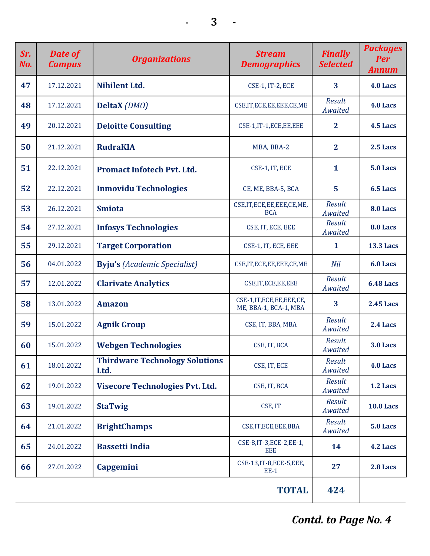| Sr.<br>No. | <b>Date of</b><br><b>Campus</b> | <b>Organizations</b>                          | <b>Stream</b><br><b>Demographics</b>                  | <b>Finally</b><br><b>Selected</b> | <b>Packages</b><br><b>Per</b><br><b>Annum</b> |
|------------|---------------------------------|-----------------------------------------------|-------------------------------------------------------|-----------------------------------|-----------------------------------------------|
| 47         | 17.12.2021                      | Nihilent Ltd.                                 | CSE-1, IT-2, ECE                                      | 3                                 | 4.0 Lacs                                      |
| 48         | 17.12.2021                      | DeltaX (DMO)                                  | CSE, IT, ECE, EE, EEE, CE, ME                         | Result<br>Awaited                 | 4.0 Lacs                                      |
| 49         | 20.12.2021                      | <b>Deloitte Consulting</b>                    | CSE-1, IT-1, ECE, EE, EEE                             | $\mathbf{2}$                      | 4.5 Lacs                                      |
| 50         | 21.12.2021                      | <b>RudraKIA</b>                               | MBA, BBA-2                                            | $\overline{2}$                    | 2.5 Lacs                                      |
| 51         | 22.12.2021                      | <b>Promact Infotech Pvt. Ltd.</b>             | CSE-1, IT, ECE                                        | $\mathbf{1}$                      | 5.0 Lacs                                      |
| 52         | 22.12.2021                      | <b>Inmovidu Technologies</b>                  | CE, ME, BBA-5, BCA                                    | 5                                 | 6.5 Lacs                                      |
| 53         | 26.12.2021                      | <b>Smiota</b>                                 | CSE, IT, ECE, EE, EEE, CE, ME,<br><b>BCA</b>          | Result<br>Awaited                 | 8.0 Lacs                                      |
| 54         | 27.12.2021                      | <b>Infosys Technologies</b>                   | CSE, IT, ECE, EEE                                     | Result<br>Awaited                 | 8.0 Lacs                                      |
| 55         | 29.12.2021                      | <b>Target Corporation</b>                     | CSE-1, IT, ECE, EEE                                   | 1                                 | <b>13.3 Lacs</b>                              |
| 56         | 04.01.2022                      | <b>Byju's</b> (Academic Specialist)           | CSE, IT, ECE, EE, EEE, CE, ME                         | Nil                               | 6.0 Lacs                                      |
| 57         | 12.01.2022                      | <b>Clarivate Analytics</b>                    | CSE, IT, ECE, EE, EEE                                 | Result<br>Awaited                 | <b>6.48 Lacs</b>                              |
| 58         | 13.01.2022                      | <b>Amazon</b>                                 | CSE-1, IT, ECE, EE, EEE, CE,<br>ME, BBA-1, BCA-1, MBA | 3                                 | <b>2.45 Lacs</b>                              |
| 59         | 15.01.2022                      | <b>Agnik Group</b>                            | CSE, IT, BBA, MBA                                     | Result<br>Awaited                 | 2.4 Lacs                                      |
| 60         | 15.01.2022                      | <b>Webgen Technologies</b>                    | CSE, IT, BCA                                          | Result<br>Awaited                 | <b>3.0 Lacs</b>                               |
| 61         | 18.01.2022                      | <b>Thirdware Technology Solutions</b><br>Ltd. | CSE, IT, ECE                                          | Result<br>Awaited                 | 4.0 Lacs                                      |
| 62         | 19.01.2022                      | <b>Visecore Technologies Pvt. Ltd.</b>        | CSE, IT, BCA                                          | Result<br>Awaited                 | 1.2 Lacs                                      |
| 63         | 19.01.2022                      | <b>StaTwig</b>                                | CSE, IT                                               | Result<br>Awaited                 | <b>10.0 Lacs</b>                              |
| 64         | 21.01.2022                      | <b>BrightChamps</b>                           | CSE, IT, ECE, EEE, BBA                                | Result<br>Awaited                 | <b>5.0 Lacs</b>                               |
| 65         | 24.01.2022                      | <b>Bassetti India</b>                         | CSE-8, IT-3, ECE-2, EE-1,<br><b>EEE</b>               | 14                                | 4.2 Lacs                                      |
| 66         | 27.01.2022                      | Capgemini                                     | CSE-13, IT-8, ECE-5, EEE,<br><b>EE-1</b>              | 27                                | 2.8 Lacs                                      |
|            |                                 |                                               | <b>TOTAL</b>                                          | 424                               |                                               |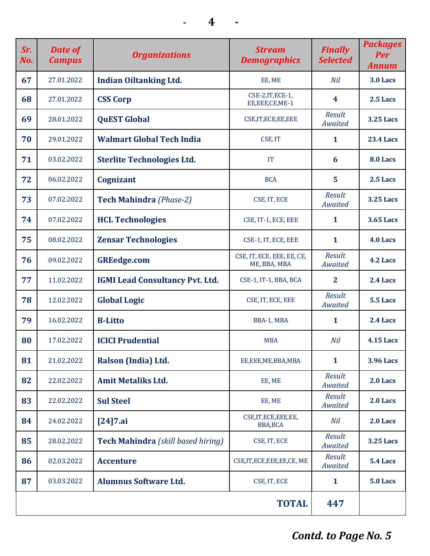| Sr.<br>No. | <b>Date of</b><br><b>Campus</b> | <b>Organizations</b>                      | <b>Stream</b><br><b>Demographics</b>       | <b>Finally</b><br><b>Selected</b> | <b>Packages</b><br><b>Per</b><br><b>Annum</b> |
|------------|---------------------------------|-------------------------------------------|--------------------------------------------|-----------------------------------|-----------------------------------------------|
| 67         | 27.01.2022                      | <b>Indian Oiltanking Ltd.</b>             | EE, ME                                     | <b>Nil</b>                        | 3.0 Lacs                                      |
| 68         | 27.01.2022                      | <b>CSS Corp</b>                           | CSE-2, IT, ECE-1,<br>EE,EEE,CE,ME-1        | 4                                 | 2.5 Lacs                                      |
| 69         | 28.01.2022                      | <b>QuEST Global</b>                       | CSE, IT, ECE, EE, EEE                      | Result<br>Awaited                 | <b>3.25 Lacs</b>                              |
| 70         | 29.01.2022                      | <b>Walmart Global Tech India</b>          | CSE, IT                                    | $\mathbf{1}$                      | <b>23.4 Lacs</b>                              |
| 71         | 03.02.2022                      | <b>Sterlite Technologies Ltd.</b>         | IT                                         | 6                                 | <b>8.0 Lacs</b>                               |
| 72         | 06.02.2022                      | <b>Cognizant</b>                          | <b>BCA</b>                                 | 5                                 | 2.5 Lacs                                      |
| 73         | 07.02.2022                      | <b>Tech Mahindra (Phase-2)</b>            | CSE, IT, ECE                               | Result<br>Awaited                 | <b>3.25 Lacs</b>                              |
| 74         | 07.02.2022                      | <b>HCL Technologies</b>                   | CSE, IT-1, ECE, EEE                        | 1                                 | <b>3.65 Lacs</b>                              |
| 75         | 08.02.2022                      | <b>Zensar Technologies</b>                | CSE-1, IT, ECE, EEE                        | $\mathbf{1}$                      | 4.0 Lacs                                      |
| 76         | 09.02.2022                      | <b>GREedge.com</b>                        | CSE, IT, ECE, EEE, EE, CE,<br>ME, BBA, MBA | Result<br>Awaited                 | 4.2 Lacs                                      |
| 77         | 11.02.2022                      | <b>IGMI Lead Consultancy Pvt. Ltd.</b>    | CSE-1, IT-1, BBA, BCA                      | $\overline{2}$                    | 2.4 Lacs                                      |
| 78         | 12.02.2022                      | <b>Global Logic</b>                       | CSE, IT, ECE, EEE                          | Result<br>Awaited                 | 5.5 Lacs                                      |
| 79         | 16.02.2022                      | <b>B-Litto</b>                            | BBA-1, MBA                                 | $\mathbf{1}$                      | 2.4 Lacs                                      |
| 80         | 17.02.2022                      | <b>ICICI Prudential</b>                   | <b>MBA</b>                                 | <b>Nil</b>                        | <b>4.15 Lacs</b>                              |
| 81         | 21.02.2022                      | Ralson (India) Ltd.                       | EE,EEE,ME,BBA,MBA                          | $\mathbf{1}$                      | <b>3.96 Lacs</b>                              |
| 82         | 22.02.2022                      | <b>Amit Metaliks Ltd.</b>                 | EE, ME                                     | Result<br>Awaited                 | 2.0 Lacs                                      |
| 83         | 22.02.2022                      | <b>Sul Steel</b>                          | EE, ME                                     | Result<br>Awaited                 | 2.0 Lacs                                      |
| 84         | 24.02.2022                      | $[24]$ 7.ai                               | CSE, IT, ECE, EEE, EE,<br><b>BBA,BCA</b>   | <b>Nil</b>                        | 2.0 Lacs                                      |
| 85         | 28.02.2022                      | <b>Tech Mahindra</b> (skill based hiring) | CSE, IT, ECE                               | Result<br>Awaited                 | <b>3.25 Lacs</b>                              |
| 86         | 02.03.2022                      | <b>Accenture</b>                          | CSE, IT, ECE, EEE, EE, CE, ME              | Result<br>Awaited                 | 5.4 Lacs                                      |
| 87         | 03.03.2022                      | <b>Alumnus Software Ltd.</b>              | CSE, IT, ECE                               | $\mathbf{1}$                      | 5.0 Lacs                                      |
|            |                                 |                                           | <b>TOTAL</b>                               | 447                               |                                               |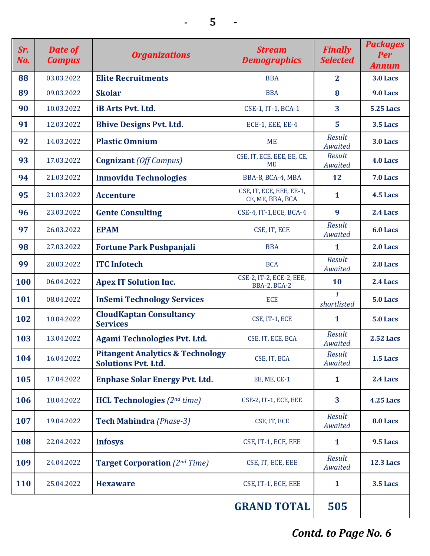| Sr.<br>No. | <b>Date of</b><br><b>Campus</b> | <b>Organizations</b>                                                      | <b>Stream</b><br><b>Demographics</b>         | <b>Finally</b><br><b>Selected</b> | <b>Packages</b><br>Per<br><b>Annum</b> |
|------------|---------------------------------|---------------------------------------------------------------------------|----------------------------------------------|-----------------------------------|----------------------------------------|
| 88         | 03.03.2022                      | <b>Elite Recruitments</b>                                                 | <b>BBA</b>                                   | $\overline{2}$                    | <b>3.0 Lacs</b>                        |
| 89         | 09.03.2022                      | <b>Skolar</b>                                                             | <b>BBA</b>                                   | 8                                 | 9.0 Lacs                               |
| 90         | 10.03.2022                      | iB Arts Pvt. Ltd.                                                         | CSE-1, IT-1, BCA-1                           | 3 <sup>1</sup>                    | <b>5.25 Lacs</b>                       |
| 91         | 12.03.2022                      | <b>Bhive Designs Pvt. Ltd.</b>                                            | ECE-1, EEE, EE-4                             | 5                                 | 3.5 Lacs                               |
| 92         | 14.03.2022                      | <b>Plastic Omnium</b>                                                     | <b>ME</b>                                    | Result<br>Awaited                 | <b>3.0 Lacs</b>                        |
| 93         | 17.03.2022                      | <b>Cognizant</b> (Off Campus)                                             | CSE, IT, ECE, EEE, EE, CE,<br><b>ME</b>      | Result<br>Awaited                 | 4.0 Lacs                               |
| 94         | 21.03.2022                      | <b>Inmovidu Technologies</b>                                              | BBA-8, BCA-4, MBA                            | 12                                | <b>7.0 Lacs</b>                        |
| 95         | 21.03.2022                      | <b>Accenture</b>                                                          | CSE, IT, ECE, EEE, EE-1,<br>CE, ME, BBA, BCA | 1                                 | 4.5 Lacs                               |
| 96         | 23.03.2022                      | <b>Gente Consulting</b>                                                   | CSE-4, IT-1, ECE, BCA-4                      | 9                                 | 2.4 Lacs                               |
| 97         | 26.03.2022                      | <b>EPAM</b>                                                               | CSE, IT, ECE                                 | Result<br>Awaited                 | 6.0 Lacs                               |
| 98         | 27.03.2022                      | <b>Fortune Park Pushpanjali</b>                                           | <b>BBA</b>                                   | 1                                 | 2.0 Lacs                               |
| 99         | 28.03.2022                      | <b>ITC Infotech</b>                                                       | <b>BCA</b>                                   | Result<br>Awaited                 | 2.8 Lacs                               |
| 100        | 06.04.2022                      | <b>Apex IT Solution Inc.</b>                                              | CSE-2, IT-2, ECE-2, EEE,<br>BBA-2, BCA-2     | 10                                | 2.4 Lacs                               |
| 101        | 08.04.2022                      | <b>InSemi Technology Services</b>                                         | <b>ECE</b>                                   | $\mathbf{1}$<br>shortlisted       | <b>5.0 Lacs</b>                        |
| 102        | 10.04.2022                      | <b>CloudKaptan Consultancy</b><br><b>Services</b>                         | CSE, IT-1, ECE                               | 1                                 | <b>5.0 Lacs</b>                        |
| 103        | 13.04.2022                      | Agami Technologies Pvt. Ltd.                                              | CSE, IT, ECE, BCA                            | Result<br>Awaited                 | <b>2.52 Lacs</b>                       |
| 104        | 16.04.2022                      | <b>Pitangent Analytics &amp; Technology</b><br><b>Solutions Pvt. Ltd.</b> | CSE, IT, BCA                                 | Result<br>Awaited                 | 1.5 Lacs                               |
| 105        | 17.04.2022                      | <b>Enphase Solar Energy Pvt. Ltd.</b>                                     | EE, ME, CE-1                                 | $\mathbf{1}$                      | 2.4 Lacs                               |
| 106        | 18.04.2022                      | <b>HCL Technologies</b> $(2^{nd}$ time)                                   | CSE-2, IT-1, ECE, EEE                        | 3 <sup>1</sup>                    | <b>4.25 Lacs</b>                       |
| 107        | 19.04.2022                      | <b>Tech Mahindra (Phase-3)</b>                                            | CSE, IT, ECE                                 | Result<br>Awaited                 | 8.0 Lacs                               |
| 108        | 22.04.2022                      | <b>Infosys</b>                                                            | CSE, IT-1, ECE, EEE                          | $\mathbf{1}$                      | 9.5 Lacs                               |
| 109        | 24.04.2022                      | <b>Target Corporation</b> (2nd Time)                                      | CSE, IT, ECE, EEE                            | Result<br>Awaited                 | <b>12.3 Lacs</b>                       |
| <b>110</b> | 25.04.2022                      | <b>Hexaware</b>                                                           | CSE, IT-1, ECE, EEE                          | $\mathbf{1}$                      | 3.5 Lacs                               |
|            |                                 |                                                                           | <b>GRAND TOTAL</b>                           | 505                               |                                        |

*Contd. to Page No. 6*